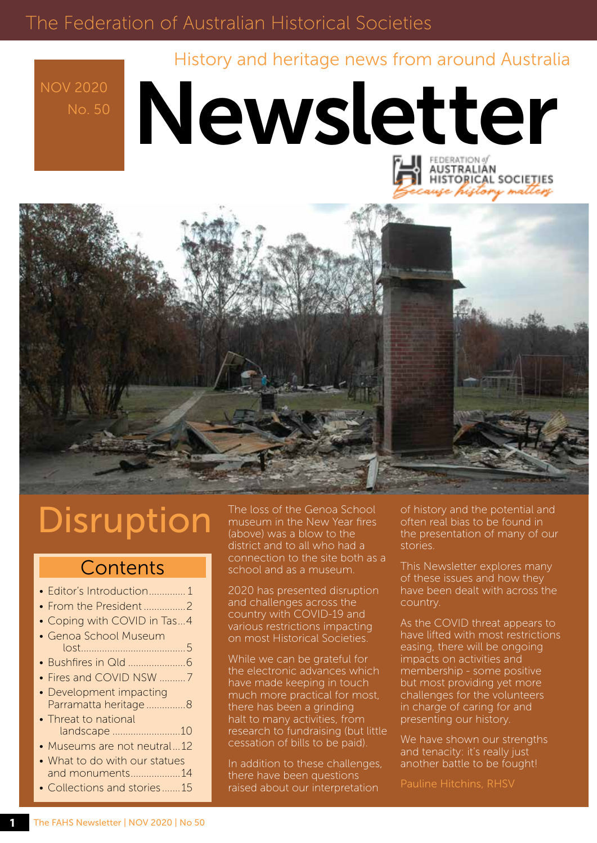### The Federation of Australian Historical Societies

History and heritage news from around Australia

NOV 2020

# Newsletter AUSTRALIAN



## **Disruption**

### **Contents**

| • Editor's Introduction 1                                                       |
|---------------------------------------------------------------------------------|
|                                                                                 |
| • Coping with COVID in Tas4                                                     |
| • Genoa School Museum                                                           |
|                                                                                 |
| • Fires and COVID NSW 7                                                         |
| • Development impacting<br>Parramatta heritage 8<br>• Threat to national        |
| landscape 10                                                                    |
| • Museums are not neutral12                                                     |
| • What to do with our statues<br>and monuments14<br>• Collections and stories15 |

The loss of the Genoa School museum in the New Year fires (above) was a blow to the district and to all who had a connection to the site both as a school and as a museum.

2020 has presented disruption and challenges across the country with COVID-19 and various restrictions impacting on most Historical Societies.

While we can be grateful for the electronic advances which have made keeping in touch much more practical for most, there has been a grinding halt to many activities, from research to fundraising (but little cessation of bills to be paid).

In addition to these challenges, there have been questions raised about our interpretation

of history and the potential and often real bias to be found in the presentation of many of our stories.

This Newsletter explores many of these issues and how they have been dealt with across the country.

As the COVID threat appears to have lifted with most restrictions easing, there will be ongoing impacts on activities and membership - some positive but most providing yet more challenges for the volunteers in charge of caring for and presenting our history.

We have shown our strengths and tenacity: it's really just another battle to be fought!

Pauline Hitchins, RHSV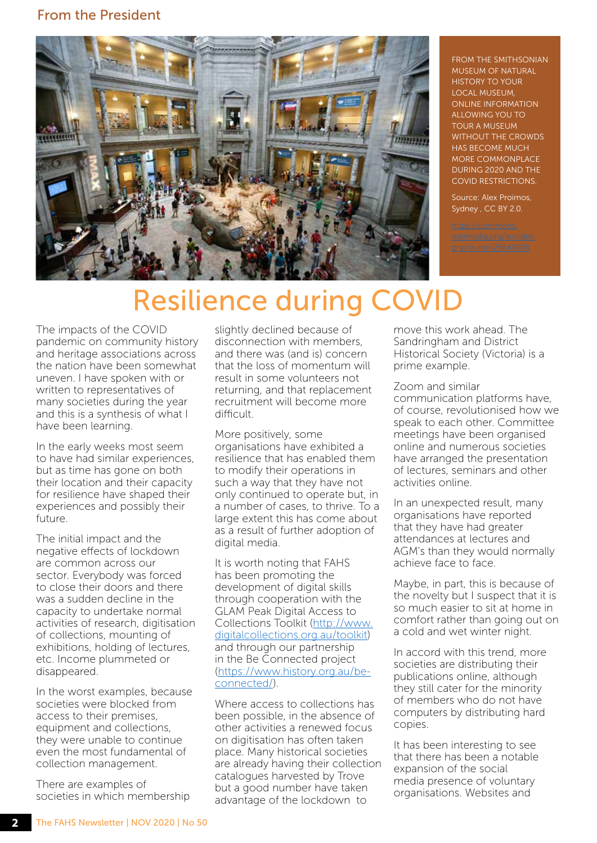#### From the President



FROM THE SMITHSONIAN MUSEUM OF NATURAL HISTORY TO YOUR LOCAL MUSEUM, ONLINE INFORMATION ALLOWING YOU TO TOUR A MUSEUM WITHOUT THE CROWDS HAS BECOME MUCH MORE COMMONPLACE DURING 2020 AND THE COVID RESTRICTIONS.

Source: Alex Proimos, Sydney , CC BY 2.0.

## Resilience during COVID

The impacts of the COVID pandemic on community history and heritage associations across the nation have been somewhat uneven. I have spoken with or written to representatives of many societies during the year and this is a synthesis of what I have been learning.

In the early weeks most seem to have had similar experiences, but as time has gone on both their location and their capacity for resilience have shaped their experiences and possibly their future.

The initial impact and the negative effects of lockdown are common across our sector. Everybody was forced to close their doors and there was a sudden decline in the capacity to undertake normal activities of research, digitisation of collections, mounting of exhibitions, holding of lectures, etc. Income plummeted or disappeared.

In the worst examples, because societies were blocked from access to their premises, equipment and collections, they were unable to continue even the most fundamental of collection management.

There are examples of societies in which membership slightly declined because of disconnection with members, and there was (and is) concern that the loss of momentum will result in some volunteers not returning, and that replacement recruitment will become more difficult.

More positively, some organisations have exhibited a resilience that has enabled them to modify their operations in such a way that they have not only continued to operate but, in a number of cases, to thrive. To a large extent this has come about as a result of further adoption of digital media.

It is worth noting that FAHS has been promoting the development of digital skills through cooperation with the GLAM Peak Digital Access to Collections Toolkit [\(http://www.](http://www.digitalcollections.org.au/toolkit) [digitalcollections.org.au/toolkit](http://www.digitalcollections.org.au/toolkit)) and through our partnership in the Be Connected project [\(https://www.history.org.au/be](https://www.history.org.au/be-connected/)[connected/](https://www.history.org.au/be-connected/)).

Where access to collections has been possible, in the absence of other activities a renewed focus on digitisation has often taken place. Many historical societies are already having their collection catalogues harvested by Trove but a good number have taken advantage of the lockdown to

move this work ahead. The Sandringham and District Historical Society (Victoria) is a prime example.

Zoom and similar communication platforms have, of course, revolutionised how we speak to each other. Committee meetings have been organised online and numerous societies have arranged the presentation of lectures, seminars and other activities online.

In an unexpected result, many organisations have reported that they have had greater attendances at lectures and AGM's than they would normally achieve face to face.

Maybe, in part, this is because of the novelty but I suspect that it is so much easier to sit at home in comfort rather than going out on a cold and wet winter night.

In accord with this trend, more societies are distributing their publications online, although they still cater for the minority of members who do not have computers by distributing hard copies.

It has been interesting to see that there has been a notable expansion of the social media presence of voluntary organisations. Websites and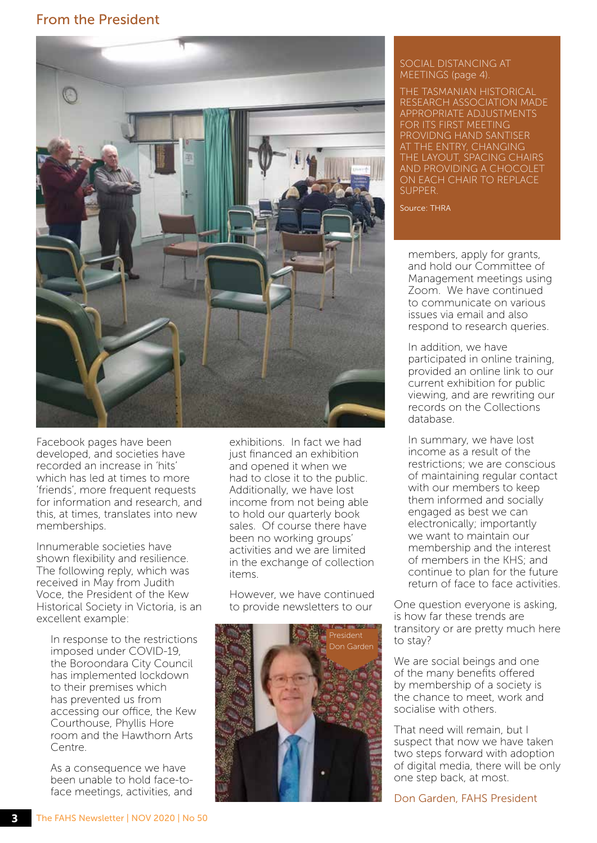#### From the President



Facebook pages have been developed, and societies have recorded an increase in 'hits' which has led at times to more 'friends', more frequent requests for information and research, and this, at times, translates into new memberships.

Innumerable societies have shown flexibility and resilience. The following reply, which was received in May from Judith Voce, the President of the Kew Historical Society in Victoria, is an excellent example:

In response to the restrictions imposed under COVID-19, the Boroondara City Council has implemented lockdown to their premises which has prevented us from accessing our office, the Kew Courthouse, Phyllis Hore room and the Hawthorn Arts Centre.

As a consequence we have been unable to hold face-toface meetings, activities, and

exhibitions. In fact we had just financed an exhibition and opened it when we had to close it to the public. Additionally, we have lost income from not being able to hold our quarterly book sales. Of course there have been no working groups' activities and we are limited in the exchange of collection items.

However, we have continued to provide newsletters to our



#### SOCIAL DISTANCING AT MEETINGS (page 4).

THE TASMANIAN HISTORICAL RESEARCH ASSOCIATION MADE APPROPRIATE ADJUSTMENTS FOR ITS FIRST MEETING PROVIDNG HAND SANTISER AT THE ENTRY, CHANGING THE LAYOUT, SPACING CHAIRS AND PROVIDING A CHOCOLET ON EACH CHAIR TO REPLACE **SUPPER** 

Source: THRA

members, apply for grants, and hold our Committee of Management meetings using Zoom. We have continued to communicate on various issues via email and also respond to research queries.

In addition, we have participated in online training, provided an online link to our current exhibition for public viewing, and are rewriting our records on the Collections database.

In summary, we have lost income as a result of the restrictions; we are conscious of maintaining regular contact with our members to keep them informed and socially engaged as best we can electronically; importantly we want to maintain our membership and the interest of members in the KHS; and continue to plan for the future return of face to face activities.

One question everyone is asking, is how far these trends are transitory or are pretty much here to stay?

We are social beings and one of the many benefits offered by membership of a society is the chance to meet, work and socialise with others.

That need will remain, but I suspect that now we have taken two steps forward with adoption of digital media, there will be only one step back, at most.

Don Garden, FAHS President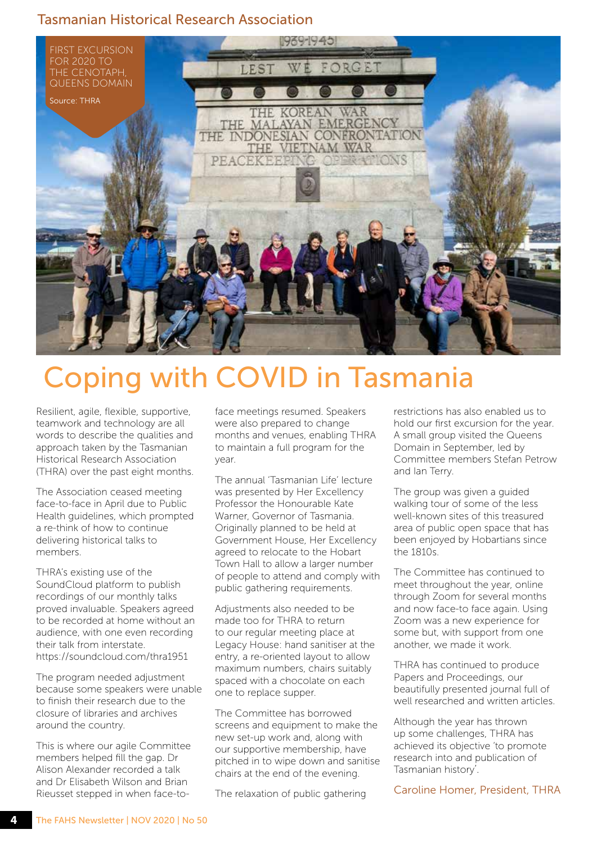#### Tasmanian Historical Research Association



## Coping with COVID in Tasmania

Resilient, agile, flexible, supportive, teamwork and technology are all words to describe the qualities and approach taken by the Tasmanian Historical Research Association (THRA) over the past eight months.

The Association ceased meeting face-to-face in April due to Public Health guidelines, which prompted a re-think of how to continue delivering historical talks to members.

THRA's existing use of the SoundCloud platform to publish recordings of our monthly talks proved invaluable. Speakers agreed to be recorded at home without an audience, with one even recording their talk from interstate. <https://soundcloud.com/thra1951>

The program needed adjustment because some speakers were unable to finish their research due to the closure of libraries and archives around the country.

This is where our agile Committee members helped fill the gap. Dr Alison Alexander recorded a talk and Dr Elisabeth Wilson and Brian Rieusset stepped in when face-toface meetings resumed. Speakers were also prepared to change months and venues, enabling THRA to maintain a full program for the year.

The annual 'Tasmanian Life' lecture was presented by Her Excellency Professor the Honourable Kate Warner, Governor of Tasmania. Originally planned to be held at Government House, Her Excellency agreed to relocate to the Hobart Town Hall to allow a larger number of people to attend and comply with public gathering requirements.

Adjustments also needed to be made too for THRA to return to our regular meeting place at Legacy House: hand sanitiser at the entry, a re-oriented layout to allow maximum numbers, chairs suitably spaced with a chocolate on each one to replace supper.

The Committee has borrowed screens and equipment to make the new set-up work and, along with our supportive membership, have pitched in to wipe down and sanitise chairs at the end of the evening.

The relaxation of public gathering

restrictions has also enabled us to hold our first excursion for the year. A small group visited the Queens Domain in September, led by Committee members Stefan Petrow and Ian Terry.

The group was given a guided walking tour of some of the less well-known sites of this treasured area of public open space that has been enjoyed by Hobartians since the 1810s.

The Committee has continued to meet throughout the year, online through Zoom for several months and now face-to face again. Using Zoom was a new experience for some but, with support from one another, we made it work.

THRA has continued to produce Papers and Proceedings, our beautifully presented journal full of well researched and written articles.

Although the year has thrown up some challenges, THRA has achieved its objective 'to promote research into and publication of Tasmanian history'.

Caroline Homer, President, THRA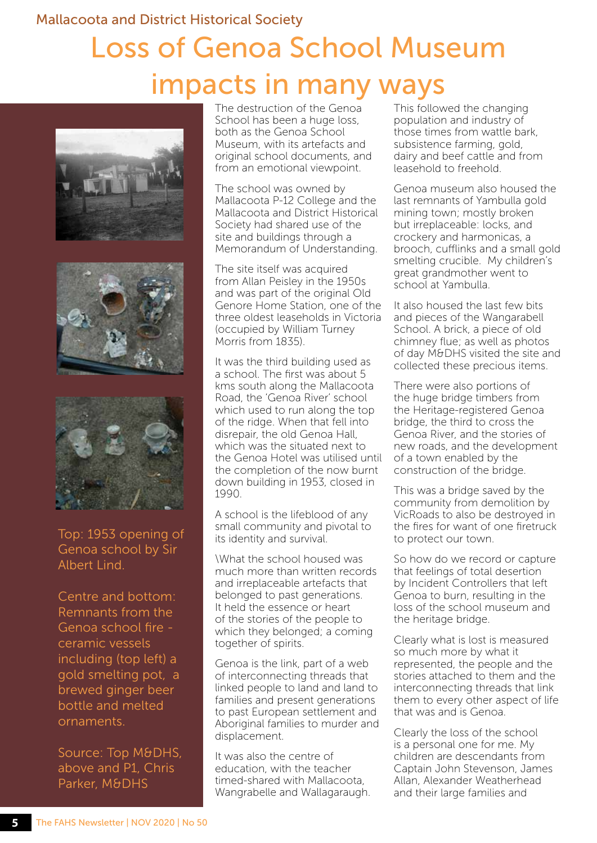#### Mallacoota and District Historical Society

## Loss of Genoa School Museum impacts in many ways







Top: 1953 opening of Genoa school by Sir Albert Lind.

Centre and bottom: Remnants from the Genoa school fire ceramic vessels including (top left) a gold smelting pot, a brewed ginger beer bottle and melted ornaments.

Source: Top M&DHS, above and P1, Chris Parker, M&DHS

The destruction of the Genoa School has been a huge loss, both as the Genoa School Museum, with its artefacts and original school documents, and from an emotional viewpoint.

The school was owned by Mallacoota P-12 College and the Mallacoota and District Historical Society had shared use of the site and buildings through a Memorandum of Understanding.

The site itself was acquired from Allan Peisley in the 1950s and was part of the original Old Genore Home Station, one of the three oldest leaseholds in Victoria (occupied by William Turney Morris from 1835).

It was the third building used as a school. The first was about 5 kms south along the Mallacoota Road, the 'Genoa River' school which used to run along the top of the ridge. When that fell into disrepair, the old Genoa Hall, which was the situated next to the Genoa Hotel was utilised until the completion of the now burnt down building in 1953, closed in 1990.

A school is the lifeblood of any small community and pivotal to its identity and survival.

\What the school housed was much more than written records and irreplaceable artefacts that belonged to past generations. It held the essence or heart of the stories of the people to which they belonged; a coming together of spirits.

Genoa is the link, part of a web of interconnecting threads that linked people to land and land to families and present generations to past European settlement and Aboriginal families to murder and displacement.

It was also the centre of education, with the teacher timed-shared with Mallacoota, Wangrabelle and Wallagaraugh. This followed the changing population and industry of those times from wattle bark, subsistence farming, gold, dairy and beef cattle and from leasehold to freehold.

Genoa museum also housed the last remnants of Yambulla gold mining town; mostly broken but irreplaceable: locks, and crockery and harmonicas, a brooch, cufflinks and a small gold smelting crucible. My children's great grandmother went to school at Yambulla.

It also housed the last few bits and pieces of the Wangarabell School. A brick, a piece of old chimney flue; as well as photos of day M&DHS visited the site and collected these precious items.

There were also portions of the huge bridge timbers from the Heritage-registered Genoa bridge, the third to cross the Genoa River, and the stories of new roads, and the development of a town enabled by the construction of the bridge.

This was a bridge saved by the community from demolition by VicRoads to also be destroyed in the fires for want of one firetruck to protect our town.

So how do we record or capture that feelings of total desertion by Incident Controllers that left Genoa to burn, resulting in the loss of the school museum and the heritage bridge.

Clearly what is lost is measured so much more by what it represented, the people and the stories attached to them and the interconnecting threads that link them to every other aspect of life that was and is Genoa.

Clearly the loss of the school is a personal one for me. My children are descendants from Captain John Stevenson, James Allan, Alexander Weatherhead and their large families and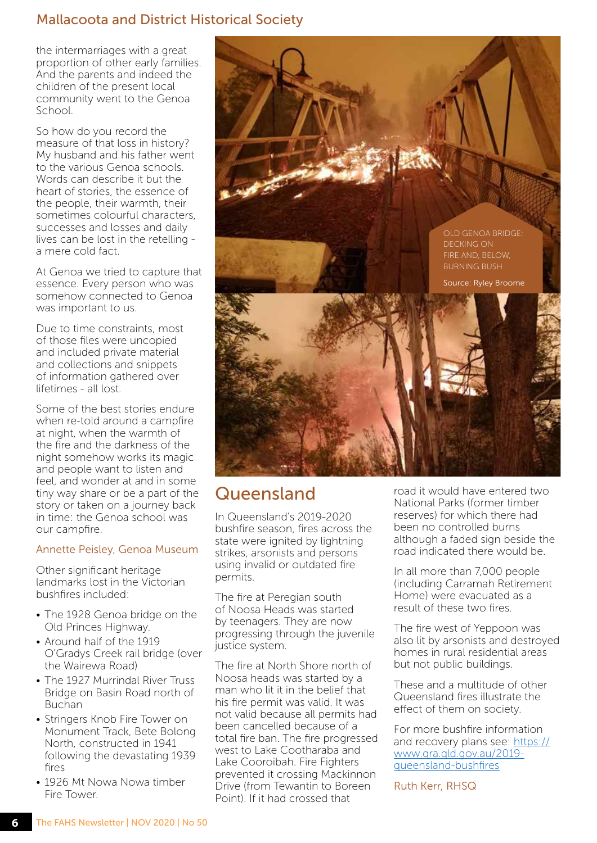#### Mallacoota and District Historical Society

the intermarriages with a great proportion of other early families. And the parents and indeed the children of the present local community went to the Genoa School.

So how do you record the measure of that loss in history? My husband and his father went to the various Genoa schools. Words can describe it but the heart of stories, the essence of the people, their warmth, their sometimes colourful characters, successes and losses and daily lives can be lost in the retelling a mere cold fact.

At Genoa we tried to capture that essence. Every person who was somehow connected to Genoa was important to us.

Due to time constraints, most of those files were uncopied and included private material and collections and snippets of information gathered over lifetimes - all lost.

Some of the best stories endure when re-told around a campfire at night, when the warmth of the fire and the darkness of the night somehow works its magic and people want to listen and feel, and wonder at and in some tiny way share or be a part of the story or taken on a journey back in time: the Genoa school was our campfire.

#### Annette Peisley, Genoa Museum

Other significant heritage landmarks lost in the Victorian bushfires included:

- The 1928 Genoa bridge on the Old Princes Highway.
- Around half of the 1919 O'Gradys Creek rail bridge (over the Wairewa Road)
- The 1927 Murrindal River Truss Bridge on Basin Road north of Buchan
- Stringers Knob Fire Tower on Monument Track, Bete Bolong North, constructed in 1941 following the devastating 1939 fires
- 1926 Mt Nowa Nowa timber Fire Tower.



### Queensland

In Queensland's 2019-2020 bushfire season, fires across the state were ignited by lightning strikes, arsonists and persons using invalid or outdated fire permits.

The fire at Peregian south of Noosa Heads was started by teenagers. They are now progressing through the juvenile justice system.

The fire at North Shore north of Noosa heads was started by a man who lit it in the belief that his fire permit was valid. It was not valid because all permits had been cancelled because of a total fire ban. The fire progressed west to Lake Cootharaba and Lake Cooroibah. Fire Fighters prevented it crossing Mackinnon Drive (from Tewantin to Boreen Point). If it had crossed that

road it would have entered two National Parks (former timber reserves) for which there had been no controlled burns although a faded sign beside the road indicated there would be.

In all more than 7,000 people (including Carramah Retirement Home) were evacuated as a result of these two fires.

The fire west of Yeppoon was also lit by arsonists and destroyed homes in rural residential areas but not public buildings.

These and a multitude of other Queensland fires illustrate the effect of them on society.

For more bushfire information and recovery plans see: [https://](https://www.qra.qld.gov.au/2019-queensland-bushfires) [www.qra.qld.gov.au/2019](https://www.qra.qld.gov.au/2019-queensland-bushfires) [queensland-bushfires](https://www.qra.qld.gov.au/2019-queensland-bushfires)

Ruth Kerr, RHSQ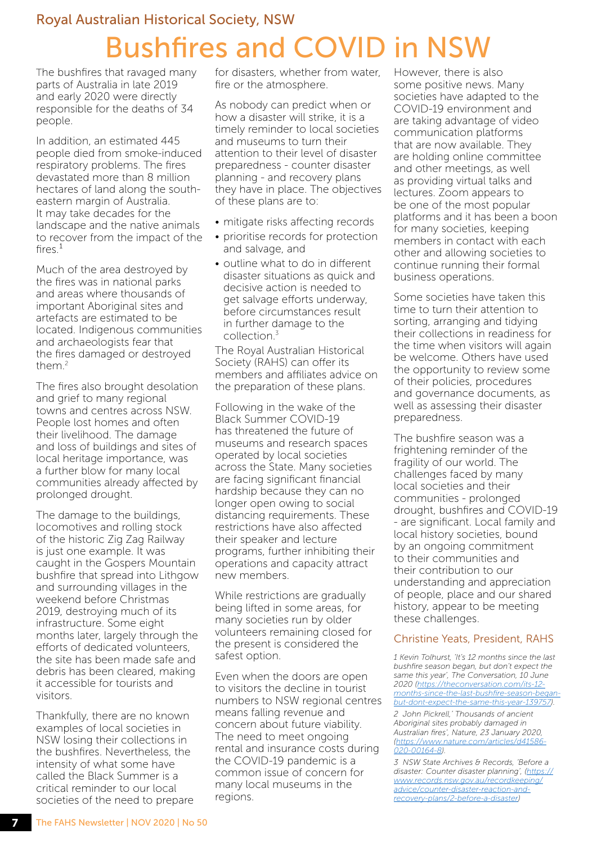### Royal Australian Historical Society, NSW Bushfires and COVID in NSW

The bushfires that ravaged many parts of Australia in late 2019 and early 2020 were directly responsible for the deaths of 34 people.

In addition, an estimated 445 people died from smoke-induced respiratory problems. The fires devastated more than 8 million hectares of land along the southeastern margin of Australia. It may take decades for the landscape and the native animals to recover from the impact of the  $fires.<sup>1</sup>$ 

Much of the area destroyed by the fires was in national parks and areas where thousands of important Aboriginal sites and artefacts are estimated to be located. Indigenous communities and archaeologists fear that the fires damaged or destroyed them.<sup>2</sup>

The fires also brought desolation and grief to many regional towns and centres across NSW. People lost homes and often their livelihood. The damage and loss of buildings and sites of local heritage importance, was a further blow for many local communities already affected by prolonged drought.

The damage to the buildings, locomotives and rolling stock of the historic Zig Zag Railway is just one example. It was caught in the Gospers Mountain bushfire that spread into Lithgow and surrounding villages in the weekend before Christmas 2019, destroying much of its infrastructure. Some eight months later, largely through the efforts of dedicated volunteers, the site has been made safe and debris has been cleared, making it accessible for tourists and visitors.

Thankfully, there are no known examples of local societies in NSW losing their collections in the bushfires. Nevertheless, the intensity of what some have called the Black Summer is a critical reminder to our local societies of the need to prepare for disasters, whether from water, fire or the atmosphere.

As nobody can predict when or how a disaster will strike, it is a timely reminder to local societies and museums to turn their attention to their level of disaster preparedness - counter disaster planning - and recovery plans they have in place. The objectives of these plans are to:

- mitigate risks affecting records
- prioritise records for protection and salvage, and
- outline what to do in different disaster situations as quick and decisive action is needed to get salvage efforts underway, before circumstances result in further damage to the collection $3$

The Royal Australian Historical Society (RAHS) can offer its members and affiliates advice on the preparation of these plans.

Following in the wake of the Black Summer COVID-19 has threatened the future of museums and research spaces operated by local societies across the State. Many societies are facing significant financial hardship because they can no longer open owing to social distancing requirements. These restrictions have also affected their speaker and lecture programs, further inhibiting their operations and capacity attract new members.

While restrictions are gradually being lifted in some areas, for many societies run by older volunteers remaining closed for the present is considered the safest option.

Even when the doors are open to visitors the decline in tourist numbers to NSW regional centres means falling revenue and concern about future viability. The need to meet ongoing rental and insurance costs during the COVID-19 pandemic is a common issue of concern for many local museums in the regions.

However, there is also some positive news. Many societies have adapted to the COVID-19 environment and are taking advantage of video communication platforms that are now available. They are holding online committee and other meetings, as well as providing virtual talks and lectures. Zoom appears to be one of the most popular platforms and it has been a boon for many societies, keeping members in contact with each other and allowing societies to continue running their formal business operations.

Some societies have taken this time to turn their attention to sorting, arranging and tidying their collections in readiness for the time when visitors will again be welcome. Others have used the opportunity to review some of their policies, procedures and governance documents, as well as assessing their disaster preparedness.

The bushfire season was a frightening reminder of the fragility of our world. The challenges faced by many local societies and their communities - prolonged drought, bushfires and COVID-19 - are significant. Local family and local history societies, bound by an ongoing commitment to their communities and their contribution to our understanding and appreciation of people, place and our shared history, appear to be meeting these challenges.

#### Christine Yeats, President, RAHS

*1 Kevin Tolhurst, 'It's 12 months since the last bushfire season began, but don't expect the same this year', The Conversation, 10 June 2020 [\(https://theconversation.com/its-12](https://theconversation.com/its-12-months-since-the-last-bushfire-season-began-but-dont-expect-the-same-this-year-139757) [months-since-the-last-bushfire-season-began](https://theconversation.com/its-12-months-since-the-last-bushfire-season-began-but-dont-expect-the-same-this-year-139757)[but-dont-expect-the-same-this-year-139757\)](https://theconversation.com/its-12-months-since-the-last-bushfire-season-began-but-dont-expect-the-same-this-year-139757).*

*2 John Pickrell,' Thousands of ancient Aboriginal sites probably damaged in Australian fires', Nature, 23 January 2020, [\(https://www.nature.com/articles/d41586-](https://www.nature.com/articles/d41586-020-00164-8) [020-00164-8\)](https://www.nature.com/articles/d41586-020-00164-8).*

*3 NSW State Archives & Records, 'Before a disaster: Counter disaster planning', [\(https://](https://www.records.nsw.gov.au/recordkeeping/advice/counter-disaster-reaction-and-recovery-plans/2-before-a-disaster) [www.records.nsw.gov.au/recordkeeping/](https://www.records.nsw.gov.au/recordkeeping/advice/counter-disaster-reaction-and-recovery-plans/2-before-a-disaster) [advice/counter-disaster-reaction-and](https://www.records.nsw.gov.au/recordkeeping/advice/counter-disaster-reaction-and-recovery-plans/2-before-a-disaster)[recovery-plans/2-before-a-disaster\)](https://www.records.nsw.gov.au/recordkeeping/advice/counter-disaster-reaction-and-recovery-plans/2-before-a-disaster)*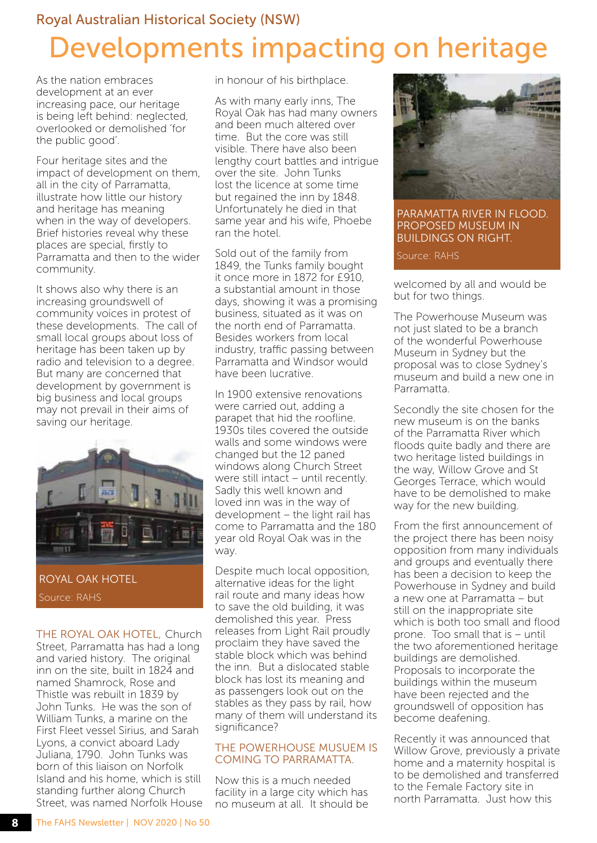## Royal Australian Historical Society (NSW) Developments impacting on heritage

As the nation embraces development at an ever increasing pace, our heritage is being left behind: neglected, overlooked or demolished 'for the public good'.

Four heritage sites and the impact of development on them, all in the city of Parramatta, illustrate how little our history and heritage has meaning when in the way of developers. Brief histories reveal why these places are special, firstly to Parramatta and then to the wider community.

It shows also why there is an increasing groundswell of community voices in protest of these developments. The call of small local groups about loss of heritage has been taken up by radio and television to a degree. But many are concerned that development by government is big business and local groups may not prevail in their aims of saving our heritage.



ROYAL OAK HOTEL Source: RAHS

THE ROYAL OAK HOTEL, Church Street, Parramatta has had a long and varied history. The original inn on the site, built in 1824 and named Shamrock, Rose and Thistle was rebuilt in 1839 by John Tunks. He was the son of William Tunks, a marine on the First Fleet vessel Sirius, and Sarah Lyons, a convict aboard Lady Juliana, 1790. John Tunks was born of this liaison on Norfolk Island and his home, which is still standing further along Church Street, was named Norfolk House in honour of his birthplace.

As with many early inns, The Royal Oak has had many owners and been much altered over time. But the core was still visible. There have also been lengthy court battles and intrigue over the site. John Tunks lost the licence at some time but regained the inn by 1848. Unfortunately he died in that same year and his wife, Phoebe ran the hotel.

Sold out of the family from 1849, the Tunks family bought it once more in 1872 for £910, a substantial amount in those days, showing it was a promising business, situated as it was on the north end of Parramatta. Besides workers from local industry, traffic passing between Parramatta and Windsor would have been lucrative.

In 1900 extensive renovations were carried out, adding a parapet that hid the roofline. 1930s tiles covered the outside walls and some windows were changed but the 12 paned windows along Church Street were still intact – until recently. Sadly this well known and loved inn was in the way of development – the light rail has come to Parramatta and the 180 year old Royal Oak was in the way.

Despite much local opposition, alternative ideas for the light rail route and many ideas how to save the old building, it was demolished this year. Press releases from Light Rail proudly proclaim they have saved the stable block which was behind the inn. But a dislocated stable block has lost its meaning and as passengers look out on the stables as they pass by rail, how many of them will understand its significance?

#### THE POWERHOUSE MUSUEM IS COMING TO PARRAMATTA.

Now this is a much needed facility in a large city which has no museum at all. It should be



PARAMATTA RIVER IN FLOOD. PROPOSED MUSEUM IN BUILDINGS ON RIGHT.

Source: RAHS

welcomed by all and would be but for two things.

The Powerhouse Museum was not just slated to be a branch of the wonderful Powerhouse Museum in Sydney but the proposal was to close Sydney's museum and build a new one in Parramatta.

Secondly the site chosen for the new museum is on the banks of the Parramatta River which floods quite badly and there are two heritage listed buildings in the way, Willow Grove and St Georges Terrace, which would have to be demolished to make way for the new building.

From the first announcement of the project there has been noisy opposition from many individuals and groups and eventually there has been a decision to keep the Powerhouse in Sydney and build a new one at Parramatta – but still on the inappropriate site which is both too small and flood prone. Too small that is – until the two aforementioned heritage buildings are demolished. Proposals to incorporate the buildings within the museum have been rejected and the groundswell of opposition has become deafening.

Recently it was announced that Willow Grove, previously a private home and a maternity hospital is to be demolished and transferred to the Female Factory site in north Parramatta. Just how this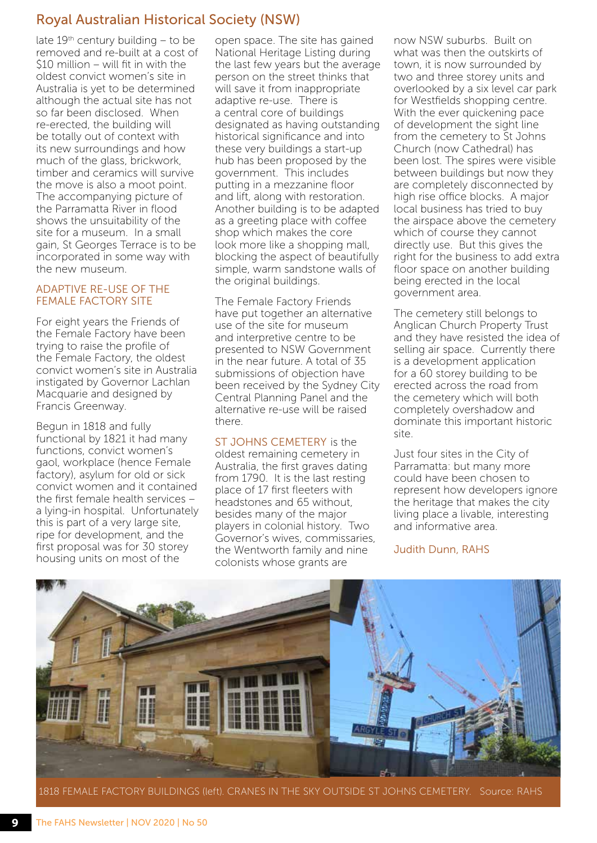#### Royal Australian Historical Society (NSW)

late  $19<sup>th</sup>$  century building – to be removed and re-built at a cost of \$10 million – will fit in with the oldest convict women's site in Australia is yet to be determined although the actual site has not so far been disclosed. When re-erected, the building will be totally out of context with its new surroundings and how much of the glass, brickwork, timber and ceramics will survive the move is also a moot point. The accompanying picture of the Parramatta River in flood shows the unsuitability of the site for a museum. In a small gain, St Georges Terrace is to be incorporated in some way with the new museum.

#### ADAPTIVE RE-USE OF THE FEMALE FACTORY SITE

For eight years the Friends of the Female Factory have been trying to raise the profile of the Female Factory, the oldest convict women's site in Australia instigated by Governor Lachlan Macquarie and designed by Francis Greenway.

Begun in 1818 and fully functional by 1821 it had many functions, convict women's gaol, workplace (hence Female factory), asylum for old or sick convict women and it contained the first female health services – a lying-in hospital. Unfortunately this is part of a very large site, ripe for development, and the first proposal was for 30 storey housing units on most of the

open space. The site has gained National Heritage Listing during the last few years but the average person on the street thinks that will save it from inappropriate adaptive re-use. There is a central core of buildings designated as having outstanding historical significance and into these very buildings a start-up hub has been proposed by the government. This includes putting in a mezzanine floor and lift, along with restoration. Another building is to be adapted as a greeting place with coffee shop which makes the core look more like a shopping mall, blocking the aspect of beautifully simple, warm sandstone walls of the original buildings.

The Female Factory Friends have put together an alternative use of the site for museum and interpretive centre to be presented to NSW Government in the near future. A total of 35 submissions of objection have been received by the Sydney City Central Planning Panel and the alternative re-use will be raised there.

ST JOHNS CEMETERY is the oldest remaining cemetery in Australia, the first graves dating from 1790. It is the last resting place of 17 first fleeters with headstones and 65 without, besides many of the major players in colonial history. Two Governor's wives, commissaries, the Wentworth family and nine colonists whose grants are

now NSW suburbs. Built on what was then the outskirts of town, it is now surrounded by two and three storey units and overlooked by a six level car park for Westfields shopping centre. With the ever quickening pace of development the sight line from the cemetery to St Johns Church (now Cathedral) has been lost. The spires were visible between buildings but now they are completely disconnected by high rise office blocks. A major local business has tried to buy the airspace above the cemetery which of course they cannot directly use. But this gives the right for the business to add extra floor space on another building being erected in the local government area.

The cemetery still belongs to Anglican Church Property Trust and they have resisted the idea of selling air space. Currently there is a development application for a 60 storey building to be erected across the road from the cemetery which will both completely overshadow and dominate this important historic site.

Just four sites in the City of Parramatta: but many more could have been chosen to represent how developers ignore the heritage that makes the city living place a livable, interesting and informative area.

Judith Dunn, RAHS



1818 FEMALE FACTORY BUILDINGS (left). CRANES IN THE SKY OUTSIDE ST JOHNS CEMETERY. Source: RAHS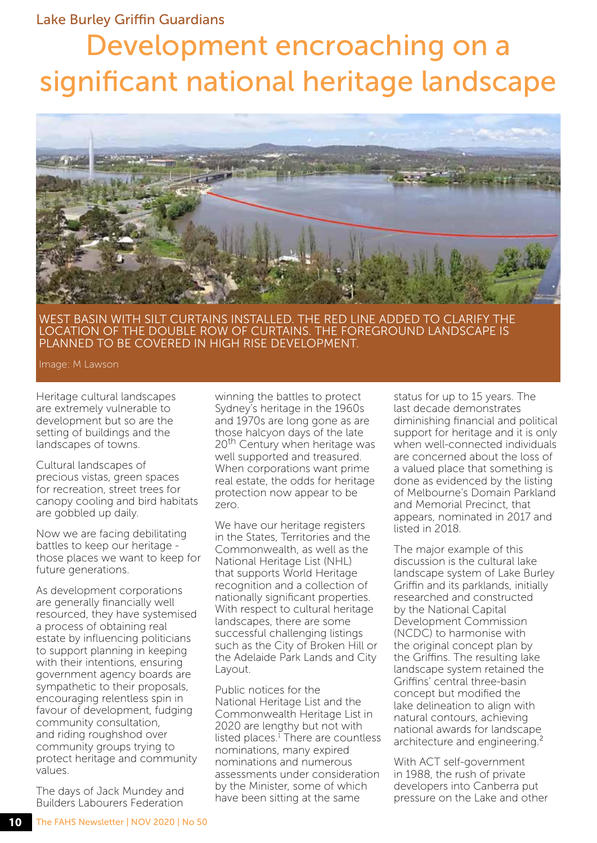#### Lake Burley Griffin Guardians

## Development encroaching on a significant national heritage landscape



WEST BASIN WITH SILT CURTAINS INSTALLED. THE RED LINE ADDED TO CLARIFY THE LOCATION OF THE DOUBLE ROW OF CURTAINS. THE FOREGROUND LANDSCAPE IS PLANNED TO BE COVERED IN HIGH RISE DEVELOPMENT.

Image: M Lawson

Heritage cultural landscapes are extremely vulnerable to development but so are the setting of buildings and the landscapes of towns.

Cultural landscapes of precious vistas, green spaces for recreation, street trees for canopy cooling and bird habitats are gobbled up daily.

Now we are facing debilitating battles to keep our heritage those places we want to keep for future generations.

As development corporations are generally financially well resourced, they have systemised a process of obtaining real estate by influencing politicians to support planning in keeping with their intentions, ensuring government agency boards are sympathetic to their proposals, encouraging relentless spin in favour of development, fudging community consultation, and riding roughshod over community groups trying to protect heritage and community values.

The days of Jack Mundey and Builders Labourers Federation

winning the battles to protect Sydney's heritage in the 1960s and 1970s are long gone as are those halcyon days of the late 20<sup>th</sup> Century when heritage was well supported and treasured. When corporations want prime real estate, the odds for heritage protection now appear to be zero.

We have our heritage registers in the States, Territories and the Commonwealth, as well as the National Heritage List (NHL) that supports World Heritage recognition and a collection of nationally significant properties. With respect to cultural heritage landscapes, there are some successful challenging listings such as the City of Broken Hill or the Adelaide Park Lands and City Layout.

Public notices for the National Heritage List and the Commonwealth Heritage List in 2020 are lengthy but not with listed places.<sup>1</sup> There are countless nominations, many expired nominations and numerous assessments under consideration by the Minister, some of which have been sitting at the same

status for up to 15 years. The last decade demonstrates diminishing financial and political support for heritage and it is only when well-connected individuals are concerned about the loss of a valued place that something is done as evidenced by the listing of Melbourne's Domain Parkland and Memorial Precinct, that appears, nominated in 2017 and listed in 2018.

The major example of this discussion is the cultural lake landscape system of Lake Burley Griffin and its parklands, initially researched and constructed by the National Capital Development Commission (NCDC) to harmonise with the original concept plan by the Griffins. The resulting lake landscape system retained the Griffins' central three-basin concept but modified the lake delineation to align with natural contours, achieving national awards for landscape architecture and engineering.<sup>2</sup>

With ACT self-government in 1988, the rush of private developers into Canberra put pressure on the Lake and other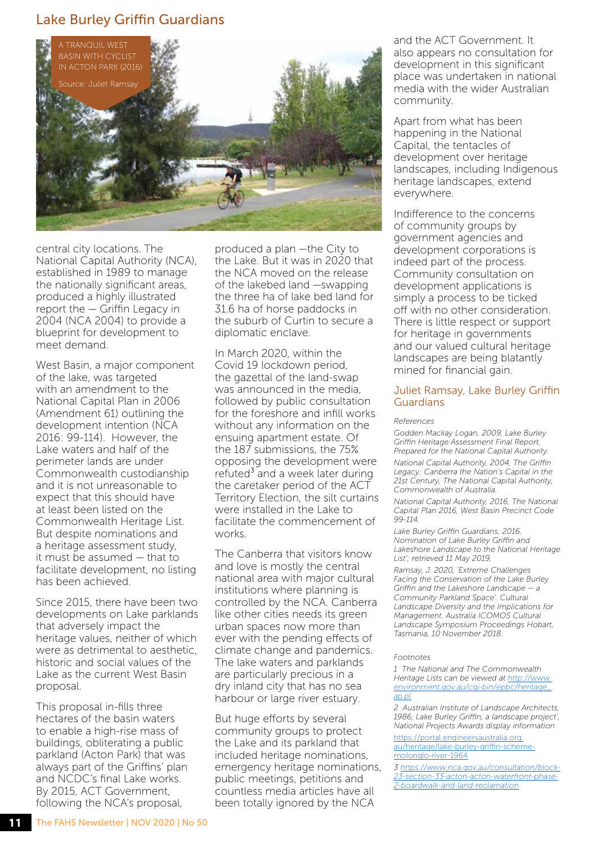#### Lake Burley Griffin Guardians



central city locations. The National Capital Authority (NCA), established in 1989 to manage the nationally significant areas, produced a highly illustrated report the — Griffin Legacy in 2004 (NCA 2004) to provide a blueprint for development to meet demand.

West Basin, a major component of the lake, was targeted with an amendment to the National Capital Plan in 2006 (Amendment 61) outlining the development intention (NCA 2016: 99-114). However, the Lake waters and half of the perimeter lands are under Commonwealth custodianship and it is not unreasonable to expect that this should have at least been listed on the Commonwealth Heritage List. But despite nominations and a heritage assessment study, it must be assumed — that to facilitate development, no listing has been achieved.

Since 2015, there have been two developments on Lake parklands that adversely impact the heritage values, neither of which were as detrimental to aesthetic, historic and social values of the Lake as the current West Basin proposal.

This proposal in-fills three hectares of the basin waters to enable a high-rise mass of buildings, obliterating a public parkland (Acton Park) that was always part of the Griffins' plan and NCDC's final Lake works. By 2015, ACT Government, following the NCA's proposal,

produced a plan —the City to the Lake. But it was in 2020 that the NCA moved on the release of the lakebed land —swapping the three ha of lake bed land for 31.6 ha of horse paddocks in the suburb of Curtin to secure a diplomatic enclave.

In March 2020, within the Covid 19 lockdown period, the gazettal of the land-swap was announced in the media, followed by public consultation for the foreshore and infill works without any information on the ensuing apartment estate. Of the 187 submissions, the 75% opposing the development were refuted<sup>3</sup> and a week later during the caretaker period of the ACT Territory Election, the silt curtains were installed in the Lake to facilitate the commencement of works.

The Canberra that visitors know and love is mostly the central national area with major cultural institutions where planning is controlled by the NCA. Canberra like other cities needs its green urban spaces now more than ever with the pending effects of climate change and pandemics. The lake waters and parklands are particularly precious in a dry inland city that has no sea harbour or large river estuary.

But huge efforts by several community groups to protect the Lake and its parkland that included heritage nominations, emergency heritage nominations, public meetings, petitions and countless media articles have all been totally ignored by the NCA

and the ACT Government. It also appears no consultation for development in this significant place was undertaken in national media with the wider Australian community.

Apart from what has been happening in the National Capital, the tentacles of development over heritage landscapes, including Indigenous heritage landscapes, extend everywhere.

Indifference to the concerns of community groups by government agencies and development corporations is indeed part of the process. Community consultation on development applications is simply a process to be ticked off with no other consideration. There is little respect or support for heritage in governments and our valued cultural heritage landscapes are being blatantly mined for financial gain.

#### Juliet Ramsay, Lake Burley Griffin Guardians

*References*

*Godden Mackay Logan, 2009, Lake Burley Griffin Heritage Assessment Final Report, Prepared for the National Capital Authority.* 

*National Capital Authority, 2004, The Griffin Legacy: Canberra the Nation's Capital in the 21st Century, The National Capital Authority, Commonwealth of Australia.* 

*National Capital Authority, 2016, The National Capital Plan 2016, West Basin Precinct Code 99-114.* 

*Lake Burley Griffin Guardians, 2016, Nomination of Lake Burley Griffin and Lakeshore Landscape to the National Heritage List'; retrieved 11 May 2019,* 

*Ramsay, J. 2020, 'Extreme Challenges Facing the Conservation of the Lake Burley Griffin and the Lakeshore Landscape — a Community Parkland Space'. Cultural Landscape Diversity and the Implications for Management. Australia ICOMOS Cultural Landscape Symposium Proceedings Hobart, Tasmania, 10 November 2018.*

#### *Footnotes*

*1 The National and The Commonwealth Heritage Lists can be viewed at [http://www.](http://www.environment.gov.au/cgi-bin/epbc/heritage_ap.pl) [environment.gov.au/cgi-bin/epbc/heritage\\_](http://www.environment.gov.au/cgi-bin/epbc/heritage_ap.pl) [ap.pl](http://www.environment.gov.au/cgi-bin/epbc/heritage_ap.pl)*

*2 Australian Institute of Landscape Architects, 1986, Lake Burley Griffin, a landscape project', National Projects Awards display information* 

[https://portal.engineersaustralia.org.](https://portal.engineersaustralia.org.au/heritage/lake-burley-griffin-scheme-molonglo-river-1964) [au/heritage/lake-burley-griffin-scheme](https://portal.engineersaustralia.org.au/heritage/lake-burley-griffin-scheme-molonglo-river-1964)[molonglo-river-1964](https://portal.engineersaustralia.org.au/heritage/lake-burley-griffin-scheme-molonglo-river-1964)

*3 [https://www.nca.gov.au/consultation/block-](https://www.nca.gov.au/consultation/block-23-section-33-acton-acton-waterfront-phase-2-boardwalk-and-land-reclamation)[23-section-33-acton-acton-waterfront-phase-](https://www.nca.gov.au/consultation/block-23-section-33-acton-acton-waterfront-phase-2-boardwalk-and-land-reclamation)[2-boardwalk-and-land-reclamation](https://www.nca.gov.au/consultation/block-23-section-33-acton-acton-waterfront-phase-2-boardwalk-and-land-reclamation)*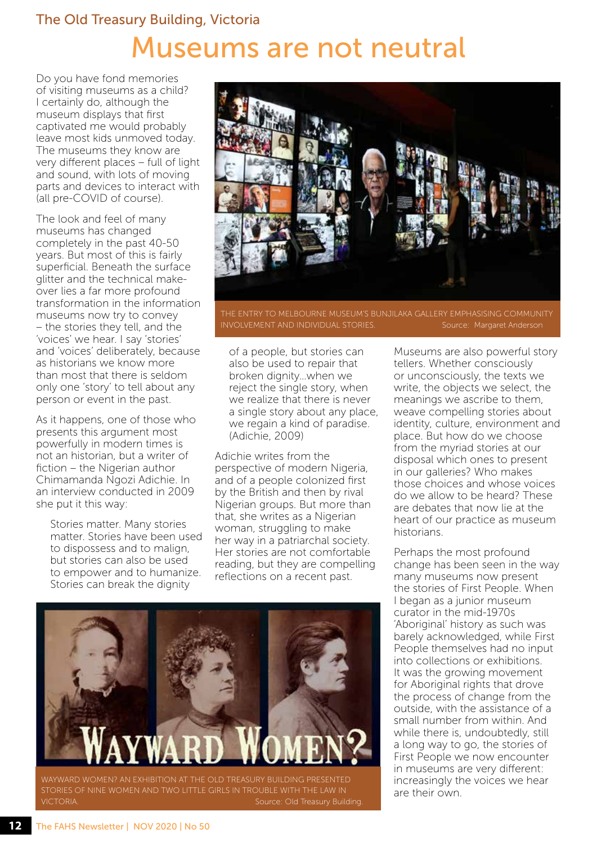## The Old Treasury Building, Victoria Museums are not neutral

Do you have fond memories of visiting museums as a child? I certainly do, although the museum displays that first captivated me would probably leave most kids unmoved today. The museums they know are very different places – full of light and sound, with lots of moving parts and devices to interact with (all pre-COVID of course).

The look and feel of many museums has changed completely in the past 40-50 years. But most of this is fairly superficial. Beneath the surface glitter and the technical makeover lies a far more profound transformation in the information museums now try to convey – the stories they tell, and the 'voices' we hear. I say 'stories' and 'voices' deliberately, because as historians we know more than most that there is seldom only one 'story' to tell about any person or event in the past.

As it happens, one of those who presents this argument most powerfully in modern times is not an historian, but a writer of fiction – the Nigerian author Chimamanda Ngozi Adichie. In an interview conducted in 2009 she put it this way:

Stories matter. Many stories matter. Stories have been used to dispossess and to malign, but stories can also be used to empower and to humanize. Stories can break the dignity



THE ENTRY TO MELBOURNE MUSEUM'S BUNJILAKA GALLERY EMPHASISING COMMUNITY INVOLVEMENT AND INDIVIDUAL STORIES. Source: Margaret Anderson

of a people, but stories can also be used to repair that broken dignity…when we reject the single story, when we realize that there is never a single story about any place, we regain a kind of paradise. (Adichie, 2009)

Adichie writes from the perspective of modern Nigeria, and of a people colonized first by the British and then by rival Nigerian groups. But more than that, she writes as a Nigerian woman, struggling to make her way in a patriarchal society. Her stories are not comfortable reading, but they are compelling reflections on a recent past.



Museums are also powerful story tellers. Whether consciously or unconsciously, the texts we write, the objects we select, the meanings we ascribe to them, weave compelling stories about identity, culture, environment and place. But how do we choose from the myriad stories at our disposal which ones to present in our galleries? Who makes those choices and whose voices do we allow to be heard? These are debates that now lie at the heart of our practice as museum historians.

Perhaps the most profound change has been seen in the way many museums now present the stories of First People. When I began as a junior museum curator in the mid-1970s 'Aboriginal' history as such was barely acknowledged, while First People themselves had no input into collections or exhibitions. It was the growing movement for Aboriginal rights that drove the process of change from the outside, with the assistance of a small number from within. And while there is, undoubtedly, still a long way to go, the stories of First People we now encounter in museums are very different: increasingly the voices we hear are their own.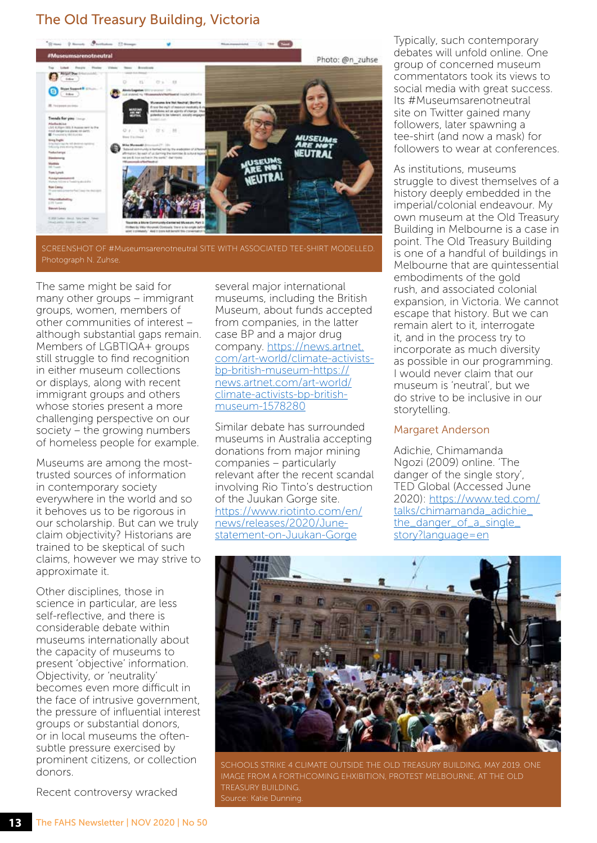#### The Old Treasury Building, Victoria



SCREENSHOT OF #Museumsarenotneutral SITE WITH ASSOCIATED TEE-SHIRT MODELLED. Photograph N. Zuhse.

The same might be said for many other groups – immigrant groups, women, members of other communities of interest – although substantial gaps remain. Members of LGBTIQA+ groups still struggle to find recognition in either museum collections or displays, along with recent immigrant groups and others whose stories present a more challenging perspective on our society – the growing numbers of homeless people for example.

Museums are among the mosttrusted sources of information in contemporary society everywhere in the world and so it behoves us to be rigorous in our scholarship. But can we truly claim objectivity? Historians are trained to be skeptical of such claims, however we may strive to approximate it.

Other disciplines, those in science in particular, are less self-reflective, and there is considerable debate within museums internationally about the capacity of museums to present 'objective' information. Objectivity, or 'neutrality' becomes even more difficult in the face of intrusive government, the pressure of influential interest groups or substantial donors, or in local museums the oftensubtle pressure exercised by prominent citizens, or collection donors.

Recent controversy wracked

several major international museums, including the British Museum, about funds accepted from companies, in the latter case BP and a major drug company. [https://news.artnet.](https://news.artnet.com/art-world/climate-activists-bp-british-museum-https://news.artnet.com/art-world/climate-activists-bp-british-museum-1578280) [com/art-world/climate-activists](https://news.artnet.com/art-world/climate-activists-bp-british-museum-https://news.artnet.com/art-world/climate-activists-bp-british-museum-1578280)[bp-british-museum-https://](https://news.artnet.com/art-world/climate-activists-bp-british-museum-https://news.artnet.com/art-world/climate-activists-bp-british-museum-1578280) [news.artnet.com/art-world/](https://news.artnet.com/art-world/climate-activists-bp-british-museum-https://news.artnet.com/art-world/climate-activists-bp-british-museum-1578280) [climate-activists-bp-british](https://news.artnet.com/art-world/climate-activists-bp-british-museum-https://news.artnet.com/art-world/climate-activists-bp-british-museum-1578280)[museum-1578280](https://news.artnet.com/art-world/climate-activists-bp-british-museum-https://news.artnet.com/art-world/climate-activists-bp-british-museum-1578280)

Similar debate has surrounded museums in Australia accepting donations from major mining companies – particularly relevant after the recent scandal involving Rio Tinto's destruction of the Juukan Gorge site. [https://www.riotinto.com/en/](https://www.riotinto.com/en/news/releases/2020/June-statement-on-Juukan-Gorge) [news/releases/2020/June](https://www.riotinto.com/en/news/releases/2020/June-statement-on-Juukan-Gorge)[statement-on-Juukan-Gorge](https://www.riotinto.com/en/news/releases/2020/June-statement-on-Juukan-Gorge) 

Typically, such contemporary debates will unfold online. One group of concerned museum commentators took its views to social media with great success. Its #Museumsarenotneutral site on Twitter gained many followers, later spawning a tee-shirt (and now a mask) for followers to wear at conferences.

As institutions, museums struggle to divest themselves of a history deeply embedded in the imperial/colonial endeavour. My own museum at the Old Treasury Building in Melbourne is a case in point. The Old Treasury Building is one of a handful of buildings in Melbourne that are quintessential embodiments of the gold rush, and associated colonial expansion, in Victoria. We cannot escape that history. But we can remain alert to it, interrogate it, and in the process try to incorporate as much diversity as possible in our programming. I would never claim that our museum is 'neutral', but we do strive to be inclusive in our storytelling.

#### Margaret Anderson

Adichie, Chimamanda Ngozi (2009) online. 'The danger of the single story', TED Global (Accessed June 2020): [https://www.ted.com/](https://www.ted.com/talks/chimamanda_adichie_the_danger_of_a_single_story?language=en) [talks/chimamanda\\_adichie\\_](https://www.ted.com/talks/chimamanda_adichie_the_danger_of_a_single_story?language=en) [the\\_danger\\_of\\_a\\_single\\_](https://www.ted.com/talks/chimamanda_adichie_the_danger_of_a_single_story?language=en) [story?language=en](https://www.ted.com/talks/chimamanda_adichie_the_danger_of_a_single_story?language=en)

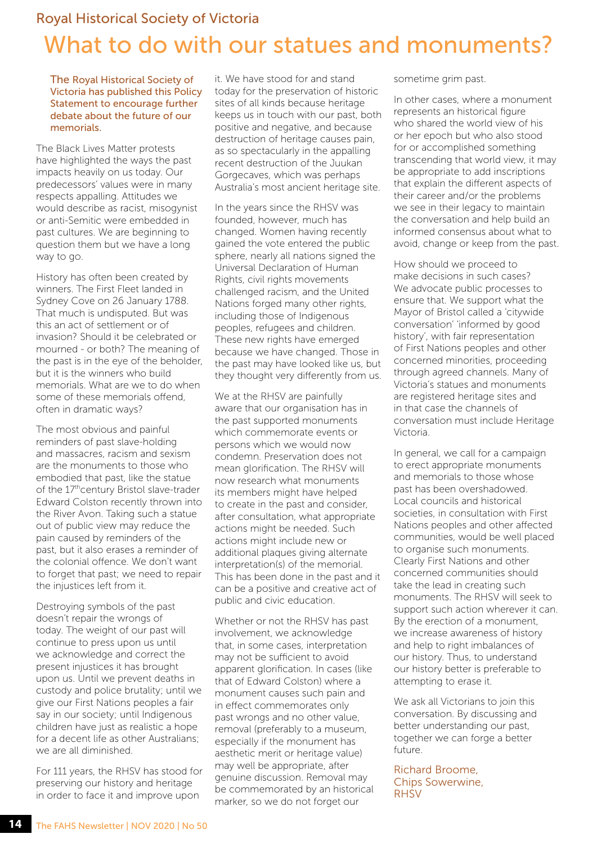### Royal Historical Society of Victoria What to do with our statues and monuments?

The Royal Historical Society of Victoria has published this Policy Statement to encourage further debate about the future of our memorials.

The Black Lives Matter protests have highlighted the ways the past impacts heavily on us today. Our predecessors' values were in many respects appalling. Attitudes we would describe as racist, misogynist or anti-Semitic were embedded in past cultures. We are beginning to question them but we have a long way to go.

History has often been created by winners. The First Fleet landed in Sydney Cove on 26 January 1788. That much is undisputed. But was this an act of settlement or of invasion? Should it be celebrated or mourned - or both? The meaning of the past is in the eye of the beholder, but it is the winners who build memorials. What are we to do when some of these memorials offend, often in dramatic ways?

The most obvious and painful reminders of past slave-holding and massacres, racism and sexism are the monuments to those who embodied that past, like the statue of the 17<sup>th</sup>century Bristol slave-trader Edward Colston recently thrown into the River Avon. Taking such a statue out of public view may reduce the pain caused by reminders of the past, but it also erases a reminder of the colonial offence. We don't want to forget that past; we need to repair the injustices left from it.

Destroying symbols of the past doesn't repair the wrongs of today. The weight of our past will continue to press upon us until we acknowledge and correct the present injustices it has brought upon us. Until we prevent deaths in custody and police brutality; until we give our First Nations peoples a fair say in our society; until Indigenous children have just as realistic a hope for a decent life as other Australians; we are all diminished.

For 111 years, the RHSV has stood for preserving our history and heritage in order to face it and improve upon

it. We have stood for and stand today for the preservation of historic sites of all kinds because heritage keeps us in touch with our past, both positive and negative, and because destruction of heritage causes pain, as so spectacularly in the appalling recent destruction of the Juukan Gorgecaves, which was perhaps Australia's most ancient heritage site.

In the years since the RHSV was founded, however, much has changed. Women having recently gained the vote entered the public sphere, nearly all nations signed the Universal Declaration of Human Rights, civil rights movements challenged racism, and the United Nations forged many other rights, including those of Indigenous peoples, refugees and children. These new rights have emerged because we have changed. Those in the past may have looked like us, but they thought very differently from us.

We at the RHSV are painfully aware that our organisation has in the past supported monuments which commemorate events or persons which we would now condemn. Preservation does not mean glorification. The RHSV will now research what monuments its members might have helped to create in the past and consider, after consultation, what appropriate actions might be needed. Such actions might include new or additional plaques giving alternate interpretation(s) of the memorial. This has been done in the past and it can be a positive and creative act of public and civic education.

Whether or not the RHSV has past involvement, we acknowledge that, in some cases, interpretation may not be sufficient to avoid apparent glorification. In cases (like that of Edward Colston) where a monument causes such pain and in effect commemorates only past wrongs and no other value, removal (preferably to a museum, especially if the monument has aesthetic merit or heritage value) may well be appropriate, after genuine discussion. Removal may be commemorated by an historical marker, so we do not forget our

sometime grim past.

In other cases, where a monument represents an historical figure who shared the world view of his or her epoch but who also stood for or accomplished something transcending that world view, it may be appropriate to add inscriptions that explain the different aspects of their career and/or the problems we see in their legacy to maintain the conversation and help build an informed consensus about what to avoid, change or keep from the past.

How should we proceed to make decisions in such cases? We advocate public processes to ensure that. We support what the Mayor of Bristol called a 'citywide conversation' 'informed by good history', with fair representation of First Nations peoples and other concerned minorities, proceeding through agreed channels. Many of Victoria's statues and monuments are registered heritage sites and in that case the channels of conversation must include Heritage Victoria.

In general, we call for a campaign to erect appropriate monuments and memorials to those whose past has been overshadowed. Local councils and historical societies, in consultation with First Nations peoples and other affected communities, would be well placed to organise such monuments. Clearly First Nations and other concerned communities should take the lead in creating such monuments. The RHSV will seek to support such action wherever it can. By the erection of a monument, we increase awareness of history and help to right imbalances of our history. Thus, to understand our history better is preferable to attempting to erase it.

We ask all Victorians to join this conversation. By discussing and better understanding our past, together we can forge a better future.

#### Richard Broome, Chips Sowerwine, **RHSV**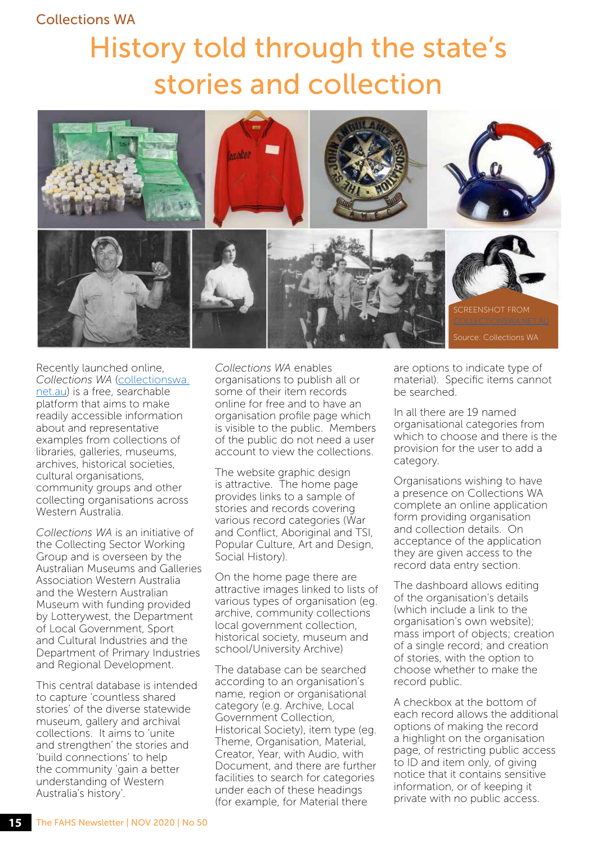#### Collections WA

## History told through the state's stories and collection



Recently launched online, *Collections WA* ([collectionswa.](http://collectionswa.net.au) [net.au\)](http://collectionswa.net.au) is a free, searchable platform that aims to make readily accessible information about and representative examples from collections of libraries, galleries, museums, archives, historical societies, cultural organisations, community groups and other collecting organisations across Western Australia.

*Collections WA* is an initiative of the Collecting Sector Working Group and is overseen by the Australian Museums and Galleries Association Western Australia and the Western Australian Museum with funding provided by Lotterywest, the Department of Local Government, Sport and Cultural Industries and the Department of Primary Industries and Regional Development.

This central database is intended to capture 'countless shared stories' of the diverse statewide museum, gallery and archival collections. It aims to 'unite and strengthen' the stories and 'build connections' to help the community 'gain a better understanding of Western Australia's history'.

*Collections WA* enables organisations to publish all or some of their item records online for free and to have an organisation profile page which is visible to the public. Members of the public do not need a user account to view the collections.

The website graphic design is attractive. The home page provides links to a sample of stories and records covering various record categories (War and Conflict, Aboriginal and TSI, Popular Culture, Art and Design, Social History).

On the home page there are attractive images linked to lists of various types of organisation (eg. archive, community collections local government collection, historical society, museum and school/University Archive)

The database can be searched according to an organisation's name, region or organisational category (e.g. Archive, Local Government Collection, Historical Society), item type (eg. Theme, Organisation, Material, Creator, Year, with Audio, with Document, and there are further facilities to search for categories under each of these headings (for example, for Material there

are options to indicate type of material). Specific items cannot be searched.

In all there are 19 named organisational categories from which to choose and there is the provision for the user to add a category.

Organisations wishing to have a presence on Collections WA complete an online application form providing organisation and collection details. On acceptance of the application they are given access to the record data entry section.

The dashboard allows editing of the organisation's details (which include a link to the organisation's own website); mass import of objects; creation of a single record; and creation of stories, with the option to choose whether to make the record public.

A checkbox at the bottom of each record allows the additional options of making the record a highlight on the organisation page, of restricting public access to ID and item only, of giving notice that it contains sensitive information, or of keeping it private with no public access.